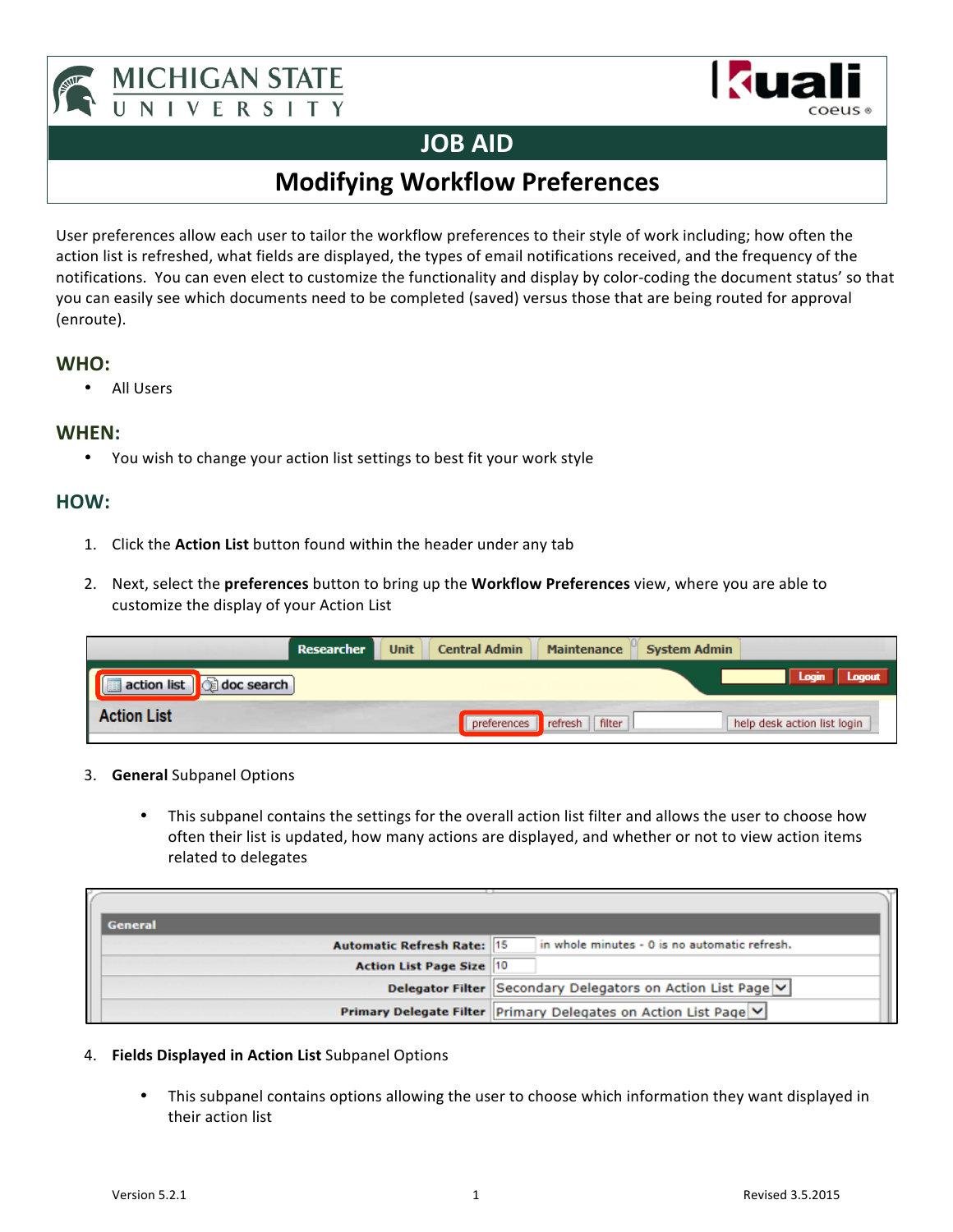





## **JOB AID**

## **Modifying Workflow Preferences**

User preferences allow each user to tailor the workflow preferences to their style of work including; how often the action list is refreshed, what fields are displayed, the types of email notifications received, and the frequency of the notifications. You can even elect to customize the functionality and display by color-coding the document status' so that you can easily see which documents need to be completed (saved) versus those that are being routed for approval (enroute).

### **WHO:**

• All Users

### **WHEN:**

• You wish to change your action list settings to best fit your work style

## **HOW:**

- 1. Click the **Action List** button found within the header under any tab
- 2. Next, select the **preferences** button to bring up the **Workflow Preferences** view, where you are able to customize the display of your Action List

|                                 | Researcher | <b>Unit</b> | <b>Central Admin</b> | <b>Maintenance</b> | <b>System Admin</b> |                             |
|---------------------------------|------------|-------------|----------------------|--------------------|---------------------|-----------------------------|
| action list <b>d</b> doc search |            |             |                      |                    | Login Logout        |                             |
| <b>Action List</b>              |            |             | preferences          | filter<br>refresh  |                     | help desk action list login |

- 3. **General** Subpanel Options
	- This subpanel contains the settings for the overall action list filter and allows the user to choose how often their list is updated, how many actions are displayed, and whether or not to view action items related to delegates

| <b>General</b>                    |                                                                 |
|-----------------------------------|-----------------------------------------------------------------|
| <b>Automatic Refresh Rate: 15</b> | in whole minutes - 0 is no automatic refresh.                   |
| <b>Action List Page Size 10</b>   |                                                                 |
|                                   | Delegator Filter Secondary Delegators on Action List Page V     |
|                                   | Primary Delegate Filter Primary Delegates on Action List Page V |

#### 4. **Fields Displayed in Action List** Subpanel Options

• This subpanel contains options allowing the user to choose which information they want displayed in their action list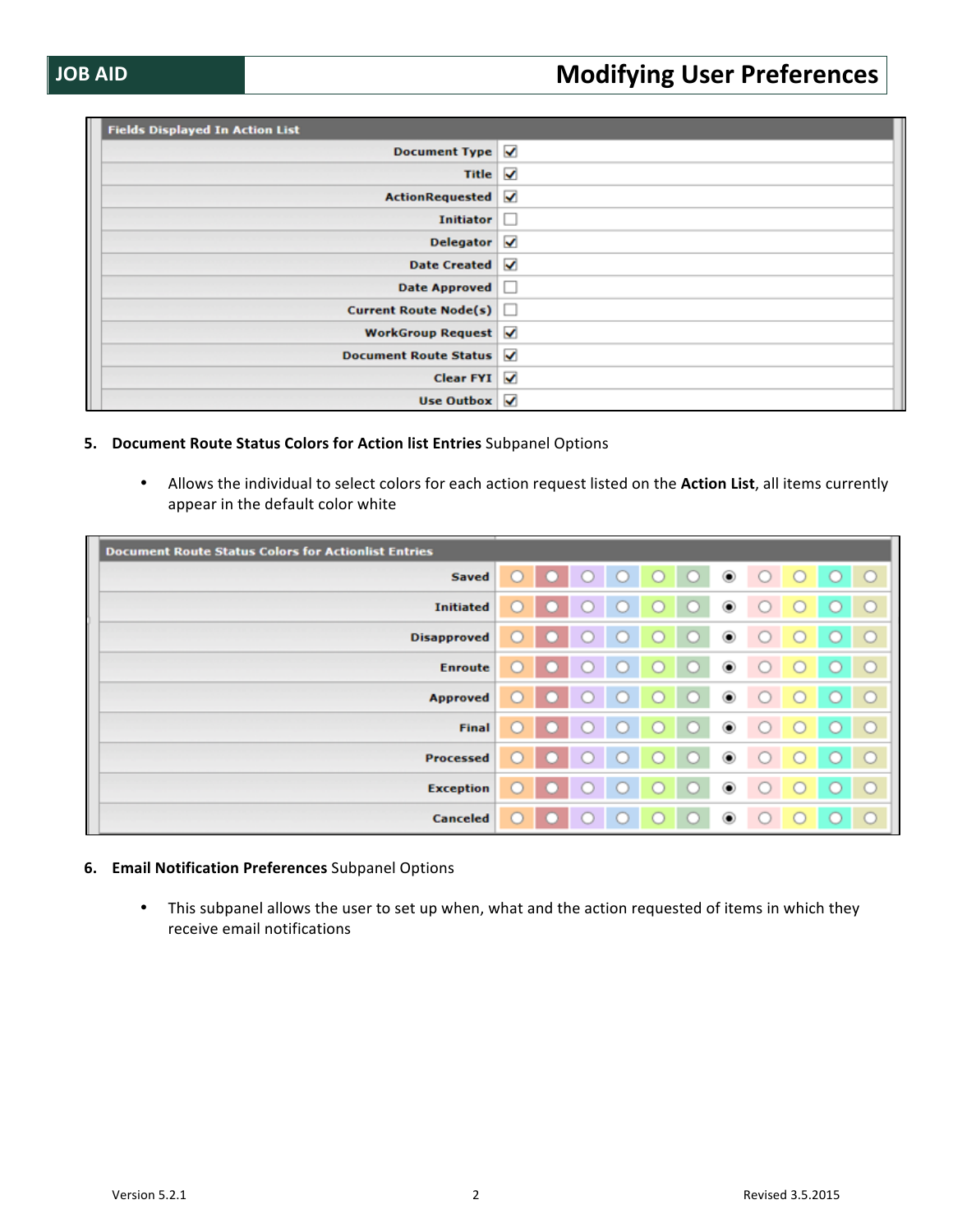| <b>Fields Displayed In Action List</b> |       |  |  |
|----------------------------------------|-------|--|--|
| Document Type Ø                        |       |  |  |
| Title $\sqrt{}$                        |       |  |  |
| ActionRequested V                      |       |  |  |
| <b>Initiator</b>                       | 4 D - |  |  |
| Delegator $\sqrt{ }$                   |       |  |  |
| Date Created V                         |       |  |  |
| <b>Date Approved</b>                   | LШ    |  |  |
| <b>Current Route Node(s)</b> $\Box$    |       |  |  |
| WorkGroup Request                      |       |  |  |
| Document Route Status                  |       |  |  |
| Clear FYI $\sqrt{}$                    |       |  |  |
| Use Outbox $\sqrt{}$                   |       |  |  |

#### **5.** Document Route Status Colors for Action list Entries Subpanel Options

• Allows the individual to select colors for each action request listed on the Action List, all items currently appear in the default color white

| <b>Document Route Status Colors for Actionlist Entries</b> |                                                        |
|------------------------------------------------------------|--------------------------------------------------------|
| <b>Saved</b>                                               | $\circ$ $\circ$ $\circ$<br>$\circledcirc$<br>$\bullet$ |
| <b>Initiated</b>                                           | $\circledcirc$                                         |
| <b>Disapproved</b>                                         | $\circledcirc$                                         |
| <b>Enroute</b>                                             | $\circledcirc$                                         |
| <b>Approved</b>                                            | $_{\textstyle\odot}$                                   |
| Final                                                      | $_{\circledcirc}$                                      |
| Processed                                                  | ◉                                                      |
| <b>Exception</b>                                           | ◉<br>$\sim$                                            |
| Canceled                                                   | $\circledcirc$                                         |

#### **6. Email Notification Preferences** Subpanel Options

• This subpanel allows the user to set up when, what and the action requested of items in which they receive email notifications